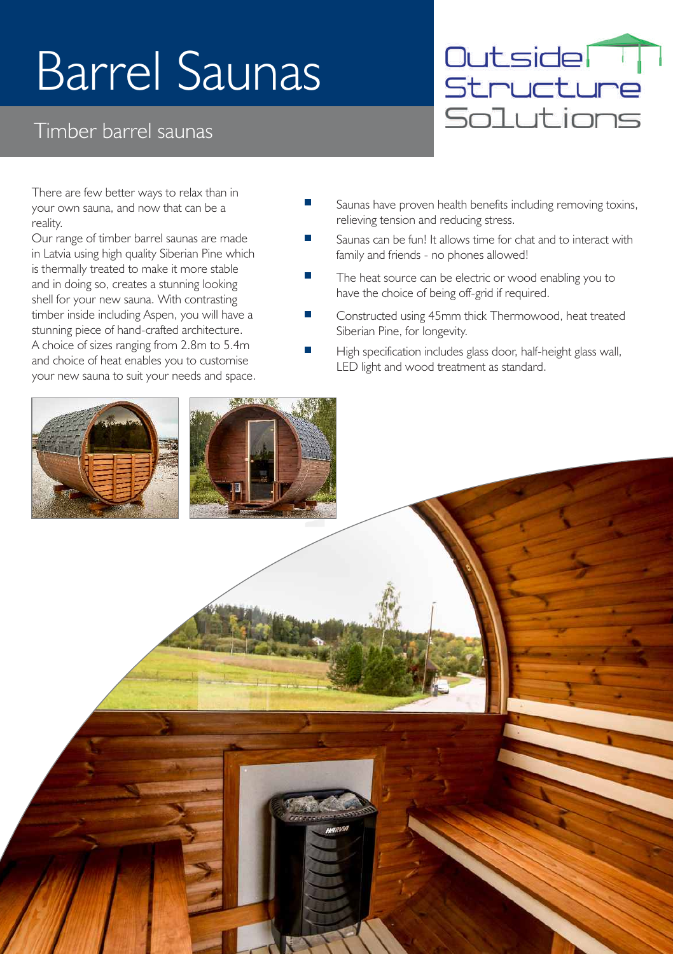# Barrel Saunas

#### Timber barrel saunas



There are few better ways to relax than in your own sauna, and now that can be a reality.

Our range of timber barrel saunas are made in Latvia using high quality Siberian Pine which is thermally treated to make it more stable and in doing so, creates a stunning looking shell for your new sauna. With contrasting timber inside including Aspen, you will have a stunning piece of hand-crafted architecture. A choice of sizes ranging from 2.8m to 5.4m and choice of heat enables you to customise your new sauna to suit your needs and space.

- П Saunas have proven health benefits including removing toxins, relieving tension and reducing stress.
- Saunas can be fun! It allows time for chat and to interact with family and friends - no phones allowed!
- The heat source can be electric or wood enabling you to have the choice of being off-grid if required.
- Constructed using 45mm thick Thermowood, heat treated Siberian Pine, for longevity.
- High specification includes glass door, half-height glass wall, LED light and wood treatment as standard.